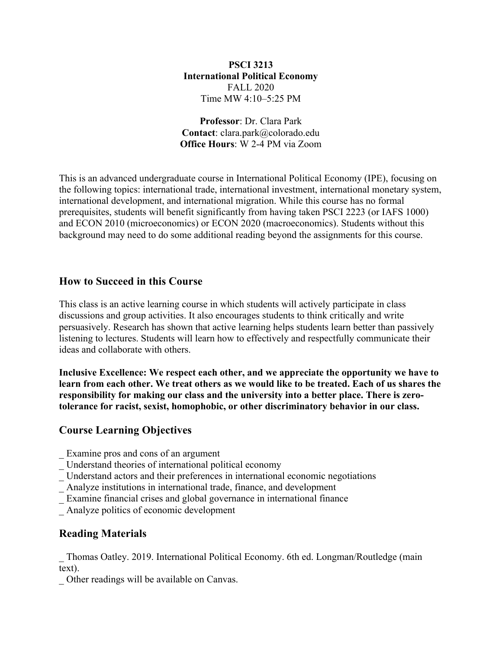### **PSCI 3213 International Political Economy** FALL 2020 Time MW 4:10–5:25 PM

**Professor**: Dr. Clara Park **Contact**: clara.park@colorado.edu **Office Hours**: W 2-4 PM via Zoom

This is an advanced undergraduate course in International Political Economy (IPE), focusing on the following topics: international trade, international investment, international monetary system, international development, and international migration. While this course has no formal prerequisites, students will benefit significantly from having taken PSCI 2223 (or IAFS 1000) and ECON 2010 (microeconomics) or ECON 2020 (macroeconomics). Students without this background may need to do some additional reading beyond the assignments for this course.

# **How to Succeed in this Course**

This class is an active learning course in which students will actively participate in class discussions and group activities. It also encourages students to think critically and write persuasively. Research has shown that active learning helps students learn better than passively listening to lectures. Students will learn how to effectively and respectfully communicate their ideas and collaborate with others.

**Inclusive Excellence: We respect each other, and we appreciate the opportunity we have to learn from each other. We treat others as we would like to be treated. Each of us shares the responsibility for making our class and the university into a better place. There is zerotolerance for racist, sexist, homophobic, or other discriminatory behavior in our class.**

# **Course Learning Objectives**

- \_ Examine pros and cons of an argument
- \_ Understand theories of international political economy
- \_ Understand actors and their preferences in international economic negotiations
- \_ Analyze institutions in international trade, finance, and development
- Examine financial crises and global governance in international finance
- \_ Analyze politics of economic development

# **Reading Materials**

\_ Thomas Oatley. 2019. International Political Economy. 6th ed. Longman/Routledge (main text).

\_ Other readings will be available on Canvas.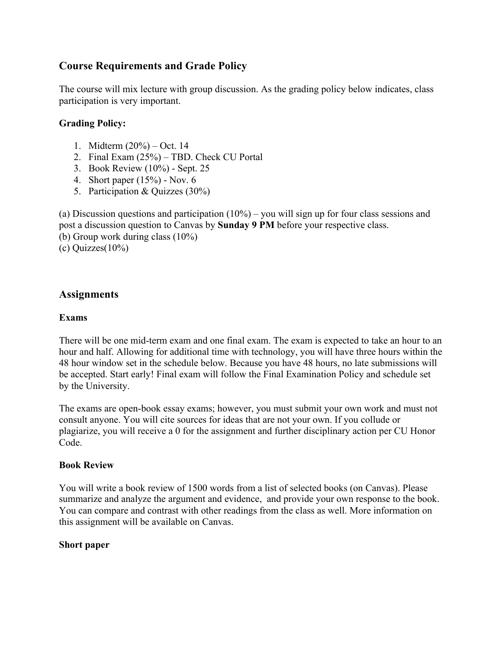# **Course Requirements and Grade Policy**

The course will mix lecture with group discussion. As the grading policy below indicates, class participation is very important.

# **Grading Policy:**

- 1. Midterm (20%) Oct. 14
- 2. Final Exam (25%) TBD. Check CU Portal
- 3. Book Review (10%) Sept. 25
- 4. Short paper (15%) Nov. 6
- 5. Participation & Quizzes (30%)

(a) Discussion questions and participation  $(10\%)$  – you will sign up for four class sessions and post a discussion question to Canvas by **Sunday 9 PM** before your respective class. (b) Group work during class (10%) (c) Quizzes(10%)

# **Assignments**

### **Exams**

There will be one mid-term exam and one final exam. The exam is expected to take an hour to an hour and half. Allowing for additional time with technology, you will have three hours within the 48 hour window set in the schedule below. Because you have 48 hours, no late submissions will be accepted. Start early! Final exam will follow the Final Examination Policy and schedule set by the University.

The exams are open-book essay exams; however, you must submit your own work and must not consult anyone. You will cite sources for ideas that are not your own. If you collude or plagiarize, you will receive a 0 for the assignment and further disciplinary action per CU Honor Code.

## **Book Review**

You will write a book review of 1500 words from a list of selected books (on Canvas). Please summarize and analyze the argument and evidence, and provide your own response to the book. You can compare and contrast with other readings from the class as well. More information on this assignment will be available on Canvas.

## **Short paper**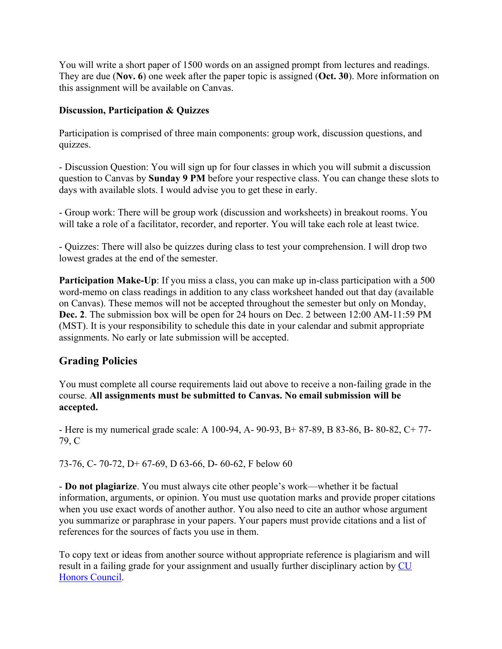You will write a short paper of 1500 words on an assigned prompt from lectures and readings. They are due (**Nov. 6**) one week after the paper topic is assigned (**Oct. 30**). More information on this assignment will be available on Canvas.

# **Discussion, Participation & Quizzes**

Participation is comprised of three main components: group work, discussion questions, and quizzes.

- Discussion Question: You will sign up for four classes in which you will submit a discussion question to Canvas by **Sunday 9 PM** before your respective class. You can change these slots to days with available slots. I would advise you to get these in early.

- Group work: There will be group work (discussion and worksheets) in breakout rooms. You will take a role of a facilitator, recorder, and reporter. You will take each role at least twice.

- Quizzes: There will also be quizzes during class to test your comprehension. I will drop two lowest grades at the end of the semester.

**Participation Make-Up:** If you miss a class, you can make up in-class participation with a 500 word-memo on class readings in addition to any class worksheet handed out that day (available on Canvas). These memos will not be accepted throughout the semester but only on Monday, **Dec. 2**. The submission box will be open for 24 hours on Dec. 2 between 12:00 AM-11:59 PM (MST). It is your responsibility to schedule this date in your calendar and submit appropriate assignments. No early or late submission will be accepted.

# **Grading Policies**

You must complete all course requirements laid out above to receive a non-failing grade in the course. **All assignments must be submitted to Canvas. No email submission will be accepted.**

- Here is my numerical grade scale: A 100-94, A- 90-93, B+ 87-89, B 83-86, B- 80-82, C+ 77- 79, C

73-76, C- 70-72, D+ 67-69, D 63-66, D- 60-62, F below 60

- **Do not plagiarize**. You must always cite other people's work—whether it be factual information, arguments, or opinion. You must use quotation marks and provide proper citations when you use exact words of another author. You also need to cite an author whose argument you summarize or paraphrase in your papers. Your papers must provide citations and a list of references for the sources of facts you use in them.

To copy text or ideas from another source without appropriate reference is plagiarism and will result in a failing grade for your assignment and usually further disciplinary action by CU Honors Council.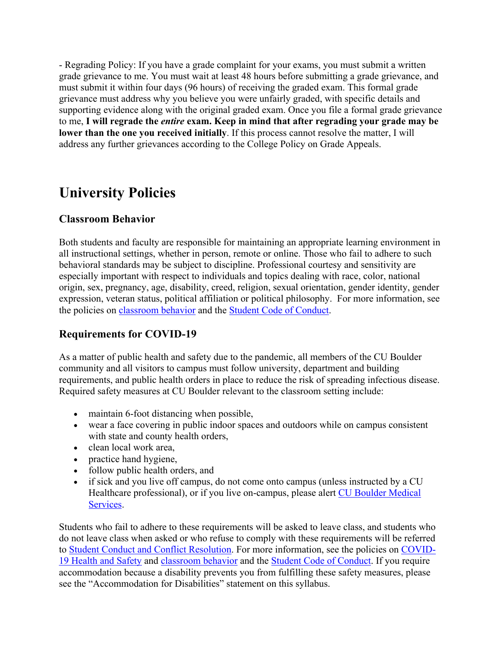- Regrading Policy: If you have a grade complaint for your exams, you must submit a written grade grievance to me. You must wait at least 48 hours before submitting a grade grievance, and must submit it within four days (96 hours) of receiving the graded exam. This formal grade grievance must address why you believe you were unfairly graded, with specific details and supporting evidence along with the original graded exam. Once you file a formal grade grievance to me, **I will regrade the** *entire* **exam. Keep in mind that after regrading your grade may be lower than the one you received initially**. If this process cannot resolve the matter, I will address any further grievances according to the College Policy on Grade Appeals.

# **University Policies**

# **Classroom Behavior**

Both students and faculty are responsible for maintaining an appropriate learning environment in all instructional settings, whether in person, remote or online. Those who fail to adhere to such behavioral standards may be subject to discipline. Professional courtesy and sensitivity are especially important with respect to individuals and topics dealing with race, color, national origin, sex, pregnancy, age, disability, creed, religion, sexual orientation, gender identity, gender expression, veteran status, political affiliation or political philosophy. For more information, see the policies on classroom behavior and the Student Code of Conduct.

# **Requirements for COVID-19**

As a matter of public health and safety due to the pandemic, all members of the CU Boulder community and all visitors to campus must follow university, department and building requirements, and public health orders in place to reduce the risk of spreading infectious disease. Required safety measures at CU Boulder relevant to the classroom setting include:

- maintain 6-foot distancing when possible,
- wear a face covering in public indoor spaces and outdoors while on campus consistent with state and county health orders,
- clean local work area,
- practice hand hygiene,
- follow public health orders, and
- if sick and you live off campus, do not come onto campus (unless instructed by a CU Healthcare professional), or if you live on-campus, please alert CU Boulder Medical Services.

Students who fail to adhere to these requirements will be asked to leave class, and students who do not leave class when asked or who refuse to comply with these requirements will be referred to Student Conduct and Conflict Resolution. For more information, see the policies on COVID-19 Health and Safety and classroom behavior and the Student Code of Conduct. If you require accommodation because a disability prevents you from fulfilling these safety measures, please see the "Accommodation for Disabilities" statement on this syllabus.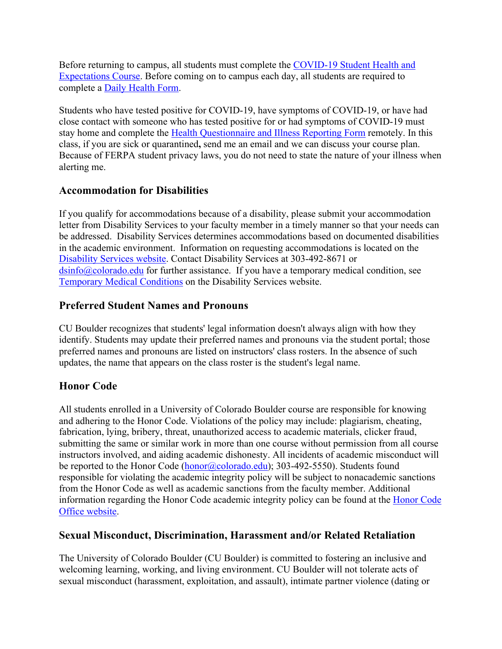Before returning to campus, all students must complete the COVID-19 Student Health and Expectations Course. Before coming on to campus each day, all students are required to complete a Daily Health Form.

Students who have tested positive for COVID-19, have symptoms of COVID-19, or have had close contact with someone who has tested positive for or had symptoms of COVID-19 must stay home and complete the Health Questionnaire and Illness Reporting Form remotely. In this class, if you are sick or quarantined**,** send me an email and we can discuss your course plan. Because of FERPA student privacy laws, you do not need to state the nature of your illness when alerting me.

# **Accommodation for Disabilities**

If you qualify for accommodations because of a disability, please submit your accommodation letter from Disability Services to your faculty member in a timely manner so that your needs can be addressed. Disability Services determines accommodations based on documented disabilities in the academic environment. Information on requesting accommodations is located on the Disability Services website. Contact Disability Services at 303-492-8671 or dsinfo@colorado.edu for further assistance. If you have a temporary medical condition, see Temporary Medical Conditions on the Disability Services website.

# **Preferred Student Names and Pronouns**

CU Boulder recognizes that students' legal information doesn't always align with how they identify. Students may update their preferred names and pronouns via the student portal; those preferred names and pronouns are listed on instructors' class rosters. In the absence of such updates, the name that appears on the class roster is the student's legal name.

# **Honor Code**

All students enrolled in a University of Colorado Boulder course are responsible for knowing and adhering to the Honor Code. Violations of the policy may include: plagiarism, cheating, fabrication, lying, bribery, threat, unauthorized access to academic materials, clicker fraud, submitting the same or similar work in more than one course without permission from all course instructors involved, and aiding academic dishonesty. All incidents of academic misconduct will be reported to the Honor Code (honor@colorado.edu); 303-492-5550). Students found responsible for violating the academic integrity policy will be subject to nonacademic sanctions from the Honor Code as well as academic sanctions from the faculty member. Additional information regarding the Honor Code academic integrity policy can be found at the **Honor Code** Office website.

# **Sexual Misconduct, Discrimination, Harassment and/or Related Retaliation**

The University of Colorado Boulder (CU Boulder) is committed to fostering an inclusive and welcoming learning, working, and living environment. CU Boulder will not tolerate acts of sexual misconduct (harassment, exploitation, and assault), intimate partner violence (dating or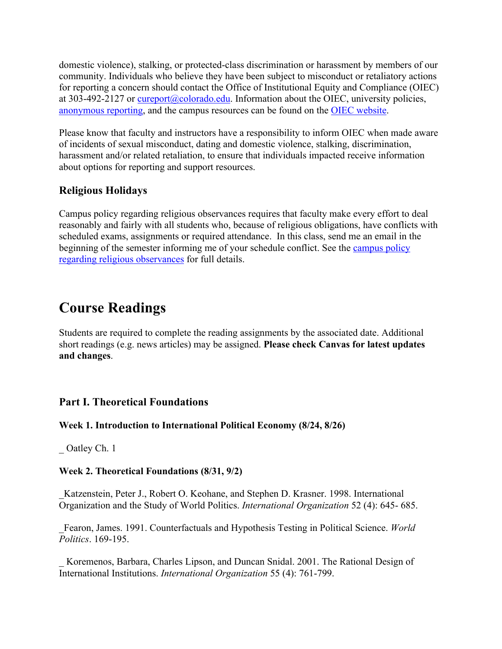domestic violence), stalking, or protected-class discrimination or harassment by members of our community. Individuals who believe they have been subject to misconduct or retaliatory actions for reporting a concern should contact the Office of Institutional Equity and Compliance (OIEC) at 303-492-2127 or  $\frac{\text{cup} \cdot \text{cup} \cdot \text{cup} \cdot \text{cup}}{\text{cup} \cdot \text{cup} \cdot \text{cup}}$ . Information about the OIEC, university policies, anonymous reporting, and the campus resources can be found on the OIEC website.

Please know that faculty and instructors have a responsibility to inform OIEC when made aware of incidents of sexual misconduct, dating and domestic violence, stalking, discrimination, harassment and/or related retaliation, to ensure that individuals impacted receive information about options for reporting and support resources.

# **Religious Holidays**

Campus policy regarding religious observances requires that faculty make every effort to deal reasonably and fairly with all students who, because of religious obligations, have conflicts with scheduled exams, assignments or required attendance. In this class, send me an email in the beginning of the semester informing me of your schedule conflict. See the campus policy regarding religious observances for full details.

# **Course Readings**

Students are required to complete the reading assignments by the associated date. Additional short readings (e.g. news articles) may be assigned. **Please check Canvas for latest updates and changes**.

# **Part I. Theoretical Foundations**

## **Week 1. Introduction to International Political Economy (8/24, 8/26)**

Oatley Ch. 1

## **Week 2. Theoretical Foundations (8/31, 9/2)**

\_Katzenstein, Peter J., Robert O. Keohane, and Stephen D. Krasner. 1998. International Organization and the Study of World Politics. *International Organization* 52 (4): 645- 685.

\_Fearon, James. 1991. Counterfactuals and Hypothesis Testing in Political Science. *World Politics*. 169-195.

Koremenos, Barbara, Charles Lipson, and Duncan Snidal. 2001. The Rational Design of International Institutions. *International Organization* 55 (4): 761-799.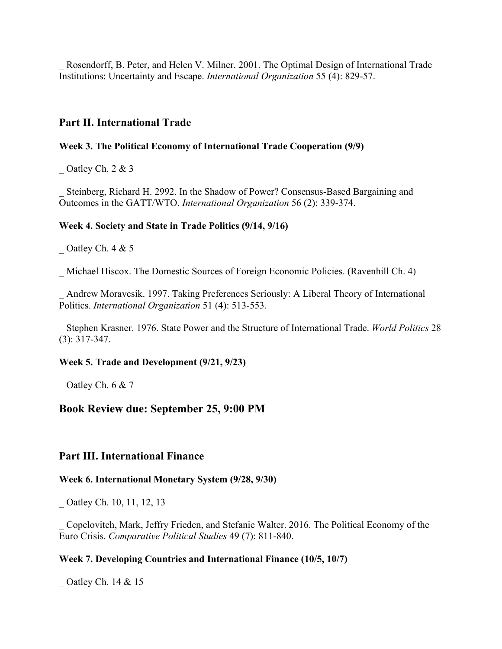Rosendorff, B. Peter, and Helen V. Milner. 2001. The Optimal Design of International Trade Institutions: Uncertainty and Escape. *International Organization* 55 (4): 829-57.

### **Part II. International Trade**

#### **Week 3. The Political Economy of International Trade Cooperation (9/9)**

\_ Oatley Ch. 2 & 3

Steinberg, Richard H. 2992. In the Shadow of Power? Consensus-Based Bargaining and Outcomes in the GATT/WTO. *International Organization* 56 (2): 339-374.

#### **Week 4. Society and State in Trade Politics (9/14, 9/16)**

Oatley Ch. 4 & 5

Michael Hiscox. The Domestic Sources of Foreign Economic Policies. (Ravenhill Ch. 4)

Andrew Moravcsik. 1997. Taking Preferences Seriously: A Liberal Theory of International Politics. *International Organization* 51 (4): 513-553.

\_ Stephen Krasner. 1976. State Power and the Structure of International Trade. *World Politics* 28 (3): 317-347.

#### **Week 5. Trade and Development (9/21, 9/23)**

\_ Oatley Ch. 6 & 7

### **Book Review due: September 25, 9:00 PM**

### **Part III. International Finance**

#### **Week 6. International Monetary System (9/28, 9/30)**

\_ Oatley Ch. 10, 11, 12, 13

\_ Copelovitch, Mark, Jeffry Frieden, and Stefanie Walter. 2016. The Political Economy of the Euro Crisis. *Comparative Political Studies* 49 (7): 811-840.

#### **Week 7. Developing Countries and International Finance (10/5, 10/7)**

\_ Oatley Ch. 14 & 15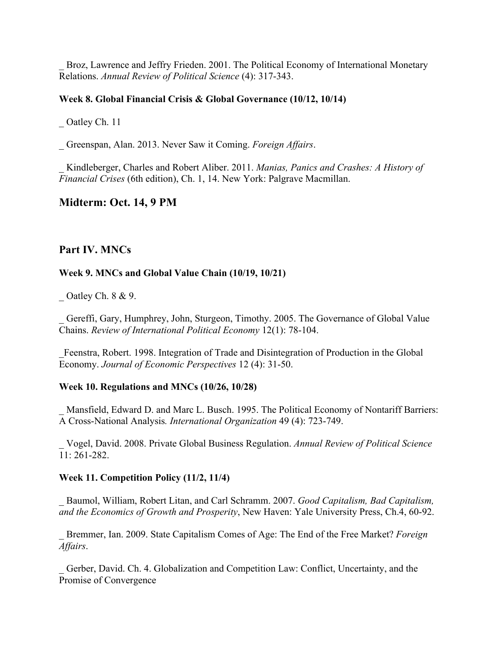Broz, Lawrence and Jeffry Frieden. 2001. The Political Economy of International Monetary Relations. *Annual Review of Political Science* (4): 317-343.

### **Week 8. Global Financial Crisis & Global Governance (10/12, 10/14)**

Oatley Ch. 11

\_ Greenspan, Alan. 2013. Never Saw it Coming. *Foreign Affairs*.

\_ Kindleberger, Charles and Robert Aliber. 2011. *Manias, Panics and Crashes: A History of Financial Crises* (6th edition), Ch. 1, 14. New York: Palgrave Macmillan.

## **Midterm: Oct. 14, 9 PM**

### **Part IV. MNCs**

#### **Week 9. MNCs and Global Value Chain (10/19, 10/21)**

 $\sim$  Oatley Ch. 8 & 9.

Gereffi, Gary, Humphrey, John, Sturgeon, Timothy. 2005. The Governance of Global Value Chains. *Review of International Political Economy* 12(1): 78-104.

\_Feenstra, Robert. 1998. Integration of Trade and Disintegration of Production in the Global Economy. *Journal of Economic Perspectives* 12 (4): 31-50.

#### **Week 10. Regulations and MNCs (10/26, 10/28)**

Mansfield, Edward D. and Marc L. Busch. 1995. The Political Economy of Nontariff Barriers: A Cross-National Analysis*. International Organization* 49 (4): 723-749.

\_ Vogel, David. 2008. Private Global Business Regulation. *Annual Review of Political Science* 11: 261-282.

#### **Week 11. Competition Policy (11/2, 11/4)**

\_ Baumol, William, Robert Litan, and Carl Schramm. 2007. *Good Capitalism, Bad Capitalism, and the Economics of Growth and Prosperity*, New Haven: Yale University Press, Ch.4, 60-92.

\_ Bremmer, Ian. 2009. State Capitalism Comes of Age: The End of the Free Market? *Foreign Affairs*.

Gerber, David. Ch. 4. Globalization and Competition Law: Conflict, Uncertainty, and the Promise of Convergence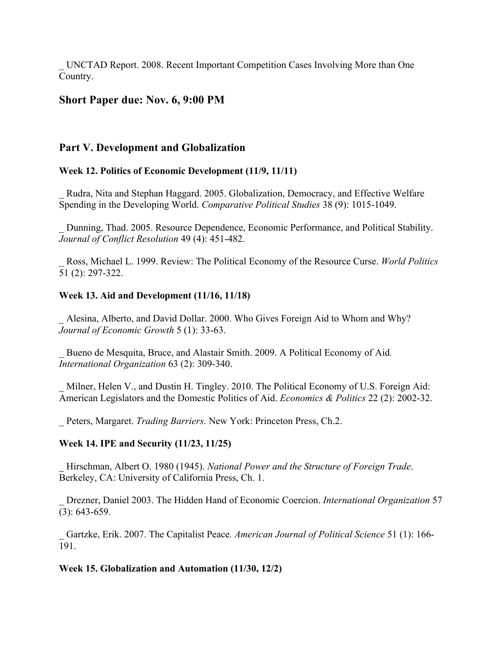\_ UNCTAD Report. 2008. Recent Important Competition Cases Involving More than One Country.

# **Short Paper due: Nov. 6, 9:00 PM**

# **Part V. Development and Globalization**

## **Week 12. Politics of Economic Development (11/9, 11/11)**

Rudra, Nita and Stephan Haggard. 2005. Globalization, Democracy, and Effective Welfare Spending in the Developing World. *Comparative Political Studies* 38 (9): 1015-1049.

\_ Dunning, Thad. 2005. Resource Dependence, Economic Performance, and Political Stability. *Journal of Conflict Resolution* 49 (4): 451-482.

\_ Ross, Michael L. 1999. Review: The Political Economy of the Resource Curse. *World Politics*  51 (2): 297-322.

### **Week 13. Aid and Development (11/16, 11/18)**

\_ Alesina, Alberto, and David Dollar. 2000. Who Gives Foreign Aid to Whom and Why? *Journal of Economic Growth* 5 (1): 33-63.

\_ Bueno de Mesquita, Bruce, and Alastair Smith. 2009. A Political Economy of Aid*. International Organization* 63 (2): 309-340.

Milner, Helen V., and Dustin H. Tingley. 2010. The Political Economy of U.S. Foreign Aid: American Legislators and the Domestic Politics of Aid. *Economics & Politics* 22 (2): 2002-32.

\_ Peters, Margaret. *Trading Barriers*. New York: Princeton Press, Ch.2.

### **Week 14. IPE and Security (11/23, 11/25)**

\_ Hirschman, Albert O. 1980 (1945). *National Power and the Structure of Foreign Trade*. Berkeley, CA: University of California Press, Ch. 1.

\_ Drezner, Daniel 2003. The Hidden Hand of Economic Coercion. *International Organization* 57 (3): 643-659.

\_ Gartzke, Erik. 2007. The Capitalist Peace*. American Journal of Political Science* 51 (1): 166- 191.

### **Week 15. Globalization and Automation (11/30, 12/2)**